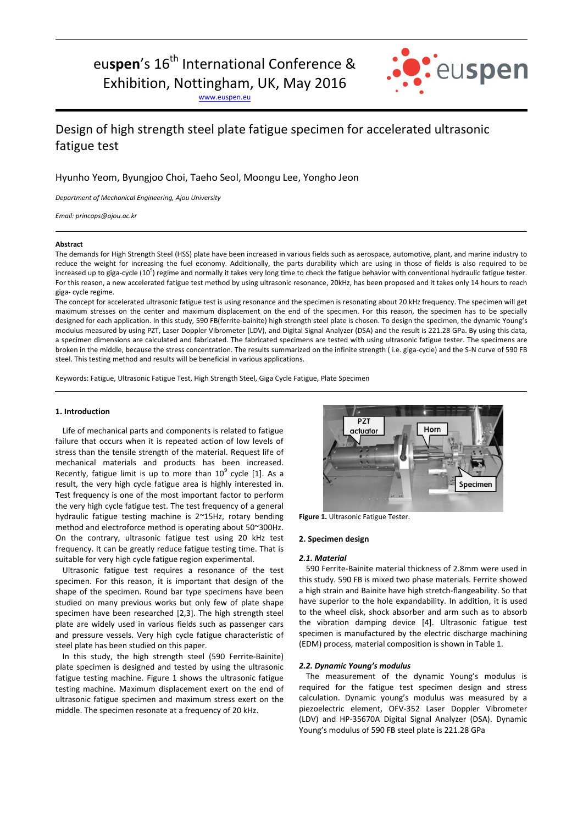# eu**spen**'s 16<sup>th</sup> International Conference & Exhibition, Nottingham, UK, May 2016

: euspen

[www.euspen.eu](http://www.euspen.eu/)

## Design of high strength steel plate fatigue specimen for accelerated ultrasonic fatigue test

### Hyunho Yeom, Byungjoo Choi, Taeho Seol, Moongu Lee, Yongho Jeon

*Department of Mechanical Engineering, Ajou University*

*Email: princaps@ajou.ac.kr*

#### **Abstract**

The demands for High Strength Steel (HSS) plate have been increased in various fields such as aerospace, automotive, plant, and marine industry to reduce the weight for increasing the fuel economy. Additionally, the parts durability which are using in those of fields is also required to be increased up to giga-cycle (10<sup>9</sup>) regime and normally it takes very long time to check the fatigue behavior with conventional hydraulic fatigue tester. For this reason, a new accelerated fatigue test method by using ultrasonic resonance, 20kHz, has been proposed and it takes only 14 hours to reach giga- cycle regime.

The concept for accelerated ultrasonic fatigue test is using resonance and the specimen is resonating about 20 kHz frequency. The specimen will get maximum stresses on the center and maximum displacement on the end of the specimen. For this reason, the specimen has to be specially designed for each application. In this study, 590 FB(ferrite-bainite) high strength steel plate is chosen. To design the specimen, the dynamic Young's modulus measured by using PZT, Laser Doppler Vibrometer (LDV), and Digital Signal Analyzer (DSA) and the result is 221.28 GPa. By using this data, a specimen dimensions are calculated and fabricated. The fabricated specimens are tested with using ultrasonic fatigue tester. The specimens are broken in the middle, because the stress concentration. The results summarized on the infinite strength ( i.e. giga-cycle) and the S-N curve of 590 FB steel. This testing method and results will be beneficial in various applications.

Keywords: Fatigue, Ultrasonic Fatigue Test, High Strength Steel, Giga Cycle Fatigue, Plate Specimen

#### **1. Introduction**

Life of mechanical parts and components is related to fatigue failure that occurs when it is repeated action of low levels of stress than the tensile strength of the material. Request life of mechanical materials and products has been increased. Recently, fatigue limit is up to more than  $10^9$  cycle [1]. As a result, the very high cycle fatigue area is highly interested in. Test frequency is one of the most important factor to perform the very high cycle fatigue test. The test frequency of a general hydraulic fatigue testing machine is 2~15Hz, rotary bending method and electroforce method is operating about 50~300Hz. On the contrary, ultrasonic fatigue test using 20 kHz test frequency. It can be greatly reduce fatigue testing time. That is suitable for very high cycle fatigue region experimental.

Ultrasonic fatigue test requires a resonance of the test specimen. For this reason, it is important that design of the shape of the specimen. Round bar type specimens have been studied on many previous works but only few of plate shape specimen have been researched [2,3]. The high strength steel plate are widely used in various fields such as passenger cars and pressure vessels. Very high cycle fatigue characteristic of steel plate has been studied on this paper.

In this study, the high strength steel (590 Ferrite-Bainite) plate specimen is designed and tested by using the ultrasonic fatigue testing machine. Figure 1 shows the ultrasonic fatigue testing machine. Maximum displacement exert on the end of ultrasonic fatigue specimen and maximum stress exert on the middle. The specimen resonate at a frequency of 20 kHz.



**Figure 1.** Ultrasonic Fatigue Tester.

#### **2. Specimen design**

#### *2.1. Material*

590 Ferrite-Bainite material thickness of 2.8mm were used in this study. 590 FB is mixed two phase materials. Ferrite showed a high strain and Bainite have high stretch-flangeability. So that have superior to the hole expandability. In addition, it is used to the wheel disk, shock absorber and arm such as to absorb the vibration damping device [4]. Ultrasonic fatigue test specimen is manufactured by the electric discharge machining (EDM) process, material composition is shown in Table 1.

#### *2.2. Dynamic Young's modulus*

The measurement of the dynamic Young's modulus is required for the fatigue test specimen design and stress calculation. Dynamic young's modulus was measured by a piezoelectric element, OFV-352 Laser Doppler Vibrometer (LDV) and HP-35670A Digital Signal Analyzer (DSA). Dynamic Young's modulus of 590 FB steel plate is 221.28 GPa